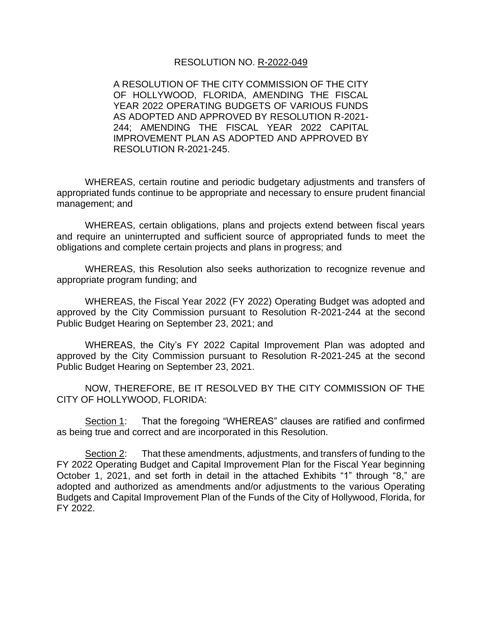### RESOLUTION NO. R-2022-049

A RESOLUTION OF THE CITY COMMISSION OF THE CITY OF HOLLYWOOD, FLORIDA, AMENDING THE FISCAL YEAR 2022 OPERATING BUDGETS OF VARIOUS FUNDS AS ADOPTED AND APPROVED BY RESOLUTION R-2021- 244; AMENDING THE FISCAL YEAR 2022 CAPITAL IMPROVEMENT PLAN AS ADOPTED AND APPROVED BY RESOLUTION R-2021-245.

WHEREAS, certain routine and periodic budgetary adjustments and transfers of appropriated funds continue to be appropriate and necessary to ensure prudent financial management; and

WHEREAS, certain obligations, plans and projects extend between fiscal years and require an uninterrupted and sufficient source of appropriated funds to meet the obligations and complete certain projects and plans in progress; and

WHEREAS, this Resolution also seeks authorization to recognize revenue and appropriate program funding; and

WHEREAS, the Fiscal Year 2022 (FY 2022) Operating Budget was adopted and approved by the City Commission pursuant to Resolution R-2021-244 at the second Public Budget Hearing on September 23, 2021; and

WHEREAS, the City's FY 2022 Capital Improvement Plan was adopted and approved by the City Commission pursuant to Resolution R-2021-245 at the second Public Budget Hearing on September 23, 2021.

NOW, THEREFORE, BE IT RESOLVED BY THE CITY COMMISSION OF THE CITY OF HOLLYWOOD, FLORIDA:

Section 1: That the foregoing "WHEREAS" clauses are ratified and confirmed as being true and correct and are incorporated in this Resolution.

Section 2: That these amendments, adjustments, and transfers of funding to the FY 2022 Operating Budget and Capital Improvement Plan for the Fiscal Year beginning October 1, 2021, and set forth in detail in the attached Exhibits "1" through "8," are adopted and authorized as amendments and/or adjustments to the various Operating Budgets and Capital Improvement Plan of the Funds of the City of Hollywood, Florida, for FY 2022.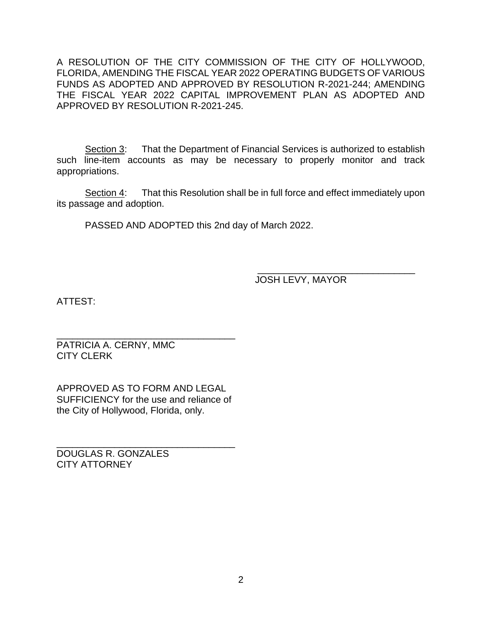A RESOLUTION OF THE CITY COMMISSION OF THE CITY OF HOLLYWOOD, FLORIDA, AMENDING THE FISCAL YEAR 2022 OPERATING BUDGETS OF VARIOUS FUNDS AS ADOPTED AND APPROVED BY RESOLUTION R-2021-244; AMENDING THE FISCAL YEAR 2022 CAPITAL IMPROVEMENT PLAN AS ADOPTED AND APPROVED BY RESOLUTION R-2021-245.

Section 3: That the Department of Financial Services is authorized to establish such line-item accounts as may be necessary to properly monitor and track appropriations.

Section 4: That this Resolution shall be in full force and effect immediately upon its passage and adoption.

PASSED AND ADOPTED this 2nd day of March 2022.

 $\frac{1}{2}$  ,  $\frac{1}{2}$  ,  $\frac{1}{2}$  ,  $\frac{1}{2}$  ,  $\frac{1}{2}$  ,  $\frac{1}{2}$  ,  $\frac{1}{2}$  ,  $\frac{1}{2}$  ,  $\frac{1}{2}$  ,  $\frac{1}{2}$  ,  $\frac{1}{2}$  ,  $\frac{1}{2}$  ,  $\frac{1}{2}$  ,  $\frac{1}{2}$  ,  $\frac{1}{2}$  ,  $\frac{1}{2}$  ,  $\frac{1}{2}$  ,  $\frac{1}{2}$  ,  $\frac{1$ JOSH LEVY, MAYOR

ATTEST:

PATRICIA A. CERNY, MMC CITY CLERK

APPROVED AS TO FORM AND LEGAL SUFFICIENCY for the use and reliance of the City of Hollywood, Florida, only.

\_\_\_\_\_\_\_\_\_\_\_\_\_\_\_\_\_\_\_\_\_\_\_\_\_\_\_\_\_\_\_\_\_\_

\_\_\_\_\_\_\_\_\_\_\_\_\_\_\_\_\_\_\_\_\_\_\_\_\_\_\_\_\_\_\_\_\_\_

DOUGLAS R. GONZALES CITY ATTORNEY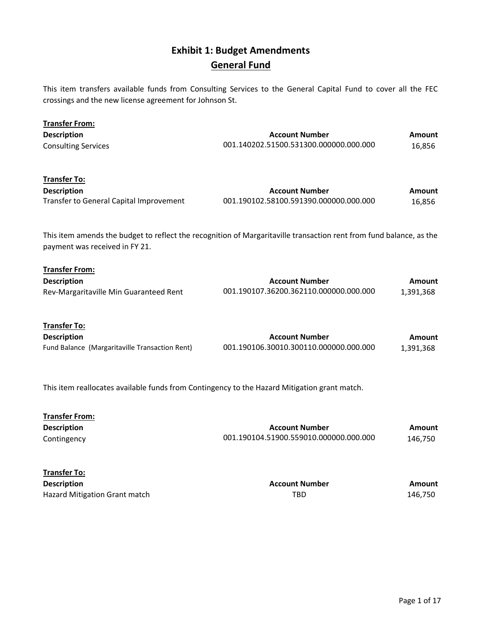### Exhibit 1: Budget Amendments General Fund

This item transfers available funds from Consulting Services to the General Capital Fund to cover all the FEC crossings and the new license agreement for Johnson St.

| <b>Transfer From:</b><br><b>Description</b><br><b>Consulting Services</b>                                                                             | <b>Account Number</b><br>001.140202.51500.531300.000000.000.000 | <b>Amount</b><br>16,856 |
|-------------------------------------------------------------------------------------------------------------------------------------------------------|-----------------------------------------------------------------|-------------------------|
| <b>Transfer To:</b><br><b>Description</b><br>Transfer to General Capital Improvement                                                                  | <b>Account Number</b><br>001.190102.58100.591390.000000.000.000 | <b>Amount</b><br>16,856 |
| This item amends the budget to reflect the recognition of Margaritaville transaction rent from fund balance, as the<br>payment was received in FY 21. |                                                                 |                         |
| <b>Transfer From:</b><br><b>Description</b><br>Rev-Margaritaville Min Guaranteed Rent                                                                 | <b>Account Number</b><br>001.190107.36200.362110.000000.000.000 | Amount<br>1,391,368     |
| <b>Transfer To:</b><br><b>Description</b><br>Fund Balance (Margaritaville Transaction Rent)                                                           | <b>Account Number</b><br>001.190106.30010.300110.000000.000.000 | Amount<br>1,391,368     |
| This item reallocates available funds from Contingency to the Hazard Mitigation grant match.                                                          |                                                                 |                         |
| <b>Transfer From:</b><br><b>Description</b><br>Contingency                                                                                            | <b>Account Number</b><br>001.190104.51900.559010.000000.000.000 | Amount<br>146,750       |

| <b>Transfer To:</b>           |                       |         |
|-------------------------------|-----------------------|---------|
| <b>Description</b>            | <b>Account Number</b> | Amount  |
| Hazard Mitigation Grant match | TBD                   | 146.750 |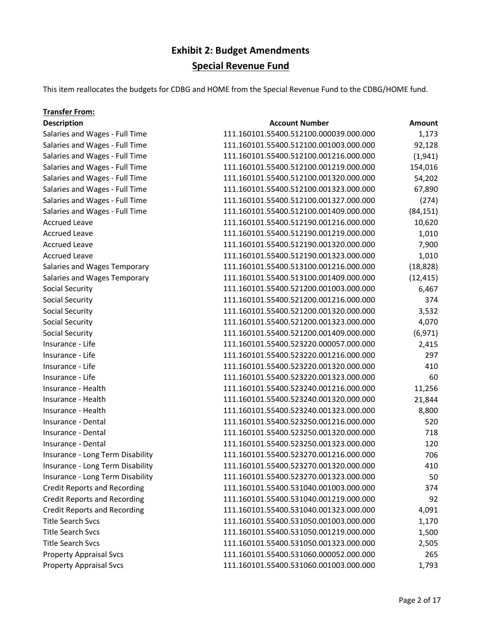### Exhibit 2: Budget Amendments Special Revenue Fund

This item reallocates the budgets for CDBG and HOME from the Special Revenue Fund to the CDBG/HOME fund.

### Transfer From: **Description Account Number Amount Account Number Amount** Salaries and Wages - Full Time 111.160101.55400.512100.000039.000.000 1,173 Salaries and Wages - Full Time 111.160101.55400.512100.001003.000.000 92,128 Salaries and Wages - Full Time 111.160101.55400.512100.001216.000.000 (1,941) Salaries and Wages - Full Time 111.160101.55400.512100.001219.000.000 154,016 Salaries and Wages - Full Time 111.160101.55400.512100.001320.000.000 54,202 Salaries and Wages - Full Time 111.160101.55400.512100.001323.000.000 67,890 Salaries and Wages - Full Time 111.160101.55400.512100.001327.000.000 (274) Salaries and Wages - Full Time 111.160101.55400.512100.001409.000.000 (84,151) Accrued Leave 10,620 111.160101.55400.512190.001216.000.000 10,620 Accrued Leave 1,010 111.160101.55400.512190.001219.000.000 1,010 Accrued Leave 111.160101.55400.512190.001320.000.000 7,900 Accrued Leave 111.160101.55400.512190.001323.000.000 1,010 Salaries and Wages Temporary 111.160101.55400.513100.001216.000.000 (18,828) Salaries and Wages Temporary 111.160101.55400.513100.001409.000.000 (12,415) Social Security 111.160101.55400.521200.001003.000.000 6,467 Social Security 111.160101.55400.521200.001216.000.000 374 Social Security 111.160101.55400.521200.001320.000.000 3,532 Social Security 111.160101.55400.521200.001323.000.000 4,070 Social Security 111.160101.55400.521200.001409.000.000 (6,971) Insurance - Life 111.160101.55400.523220.000057.000.000 2,415 Insurance - Life 111.160101.55400.523220.001216.000.000 297 Insurance - Life 111.160101.55400.523220.001320.000.000 410 Insurance - Life 111.160101.55400.523220.001323.000.000 60 Insurance - Health 111.160101.55400.523240.001216.000.000 11,256 Insurance - Health 111.160101.55400.523240.001320.000.000 21,844 Insurance - Health 111.160101.55400.523240.001323.000.000 8,800 Insurance - Dental 111.160101.55400.523250.001216.000.000 520 Insurance - Dental 111.160101.55400.523250.001320.000.000 718 Insurance - Dental 111.160101.55400.523250.001323.000.000 120 Insurance - Long Term Disability 111.160101.55400.523270.001216.000.000 706 Insurance - Long Term Disability 111.160101.55400.523270.001320.000.000 410 Insurance - Long Term Disability 111.160101.55400.523270.001323.000.000 50 Credit Reports and Recording 111.160101.55400.531040.001003.000.000 374 Credit Reports and Recording 111.160101.55400.531040.001219.000.000 92 Credit Reports and Recording 111.160101.55400.531040.001323.000.000 4,091 Title Search Svcs 111.160101.55400.531050.001003.000.000 1,170 Title Search Svcs 111.160101.55400.531050.001219.000.000 1,500 Title Search Svcs 111.160101.55400.531050.001323.000.000 2,505 Property Appraisal Svcs 111.160101.55400.531060.000052.000.000 265 Property Appraisal Svcs 111.160101.55400.531060.001003.000.000 1,793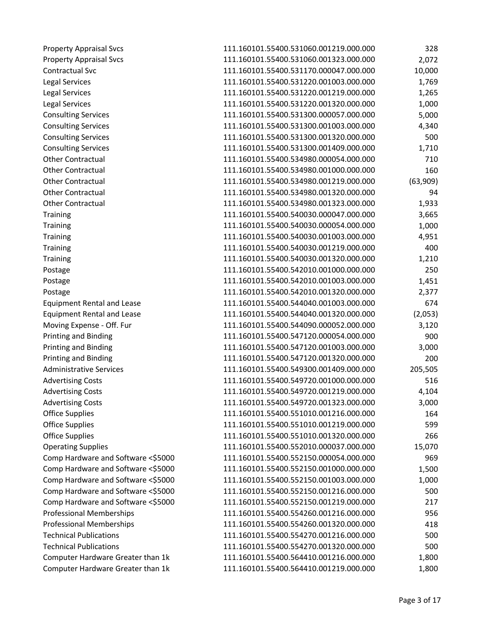| <b>Property Appraisal Svcs</b>     | 111.160101.55400.531060.001219.000.000 | 328      |
|------------------------------------|----------------------------------------|----------|
| <b>Property Appraisal Svcs</b>     | 111.160101.55400.531060.001323.000.000 | 2,072    |
| Contractual Svc                    | 111.160101.55400.531170.000047.000.000 | 10,000   |
| Legal Services                     | 111.160101.55400.531220.001003.000.000 | 1,769    |
| <b>Legal Services</b>              | 111.160101.55400.531220.001219.000.000 | 1,265    |
| <b>Legal Services</b>              | 111.160101.55400.531220.001320.000.000 | 1,000    |
| <b>Consulting Services</b>         | 111.160101.55400.531300.000057.000.000 | 5,000    |
| <b>Consulting Services</b>         | 111.160101.55400.531300.001003.000.000 | 4,340    |
| <b>Consulting Services</b>         | 111.160101.55400.531300.001320.000.000 | 500      |
| <b>Consulting Services</b>         | 111.160101.55400.531300.001409.000.000 | 1,710    |
| <b>Other Contractual</b>           | 111.160101.55400.534980.000054.000.000 | 710      |
| <b>Other Contractual</b>           | 111.160101.55400.534980.001000.000.000 | 160      |
| <b>Other Contractual</b>           | 111.160101.55400.534980.001219.000.000 | (63,909) |
| <b>Other Contractual</b>           | 111.160101.55400.534980.001320.000.000 | 94       |
| <b>Other Contractual</b>           | 111.160101.55400.534980.001323.000.000 | 1,933    |
| <b>Training</b>                    | 111.160101.55400.540030.000047.000.000 | 3,665    |
| <b>Training</b>                    | 111.160101.55400.540030.000054.000.000 | 1,000    |
| <b>Training</b>                    | 111.160101.55400.540030.001003.000.000 | 4,951    |
| <b>Training</b>                    | 111.160101.55400.540030.001219.000.000 | 400      |
| <b>Training</b>                    | 111.160101.55400.540030.001320.000.000 | 1,210    |
| Postage                            | 111.160101.55400.542010.001000.000.000 | 250      |
| Postage                            | 111.160101.55400.542010.001003.000.000 | 1,451    |
| Postage                            | 111.160101.55400.542010.001320.000.000 | 2,377    |
| <b>Equipment Rental and Lease</b>  | 111.160101.55400.544040.001003.000.000 | 674      |
| <b>Equipment Rental and Lease</b>  | 111.160101.55400.544040.001320.000.000 | (2,053)  |
| Moving Expense - Off. Fur          | 111.160101.55400.544090.000052.000.000 | 3,120    |
| <b>Printing and Binding</b>        | 111.160101.55400.547120.000054.000.000 | 900      |
| Printing and Binding               | 111.160101.55400.547120.001003.000.000 | 3,000    |
| <b>Printing and Binding</b>        | 111.160101.55400.547120.001320.000.000 | 200      |
| <b>Administrative Services</b>     | 111.160101.55400.549300.001409.000.000 | 205,505  |
| <b>Advertising Costs</b>           | 111.160101.55400.549720.001000.000.000 | 516      |
| <b>Advertising Costs</b>           | 111.160101.55400.549720.001219.000.000 | 4,104    |
| <b>Advertising Costs</b>           | 111.160101.55400.549720.001323.000.000 | 3,000    |
| <b>Office Supplies</b>             | 111.160101.55400.551010.001216.000.000 | 164      |
| <b>Office Supplies</b>             | 111.160101.55400.551010.001219.000.000 | 599      |
| <b>Office Supplies</b>             | 111.160101.55400.551010.001320.000.000 | 266      |
| <b>Operating Supplies</b>          | 111.160101.55400.552010.000037.000.000 | 15,070   |
| Comp Hardware and Software <\$5000 | 111.160101.55400.552150.000054.000.000 | 969      |
| Comp Hardware and Software <\$5000 | 111.160101.55400.552150.001000.000.000 | 1,500    |
| Comp Hardware and Software <\$5000 | 111.160101.55400.552150.001003.000.000 | 1,000    |
| Comp Hardware and Software <\$5000 | 111.160101.55400.552150.001216.000.000 | 500      |
| Comp Hardware and Software <\$5000 | 111.160101.55400.552150.001219.000.000 | 217      |
| <b>Professional Memberships</b>    | 111.160101.55400.554260.001216.000.000 | 956      |
| <b>Professional Memberships</b>    | 111.160101.55400.554260.001320.000.000 | 418      |
| <b>Technical Publications</b>      | 111.160101.55400.554270.001216.000.000 | 500      |
| <b>Technical Publications</b>      | 111.160101.55400.554270.001320.000.000 | 500      |
| Computer Hardware Greater than 1k  | 111.160101.55400.564410.001216.000.000 | 1,800    |
| Computer Hardware Greater than 1k  | 111.160101.55400.564410.001219.000.000 | 1,800    |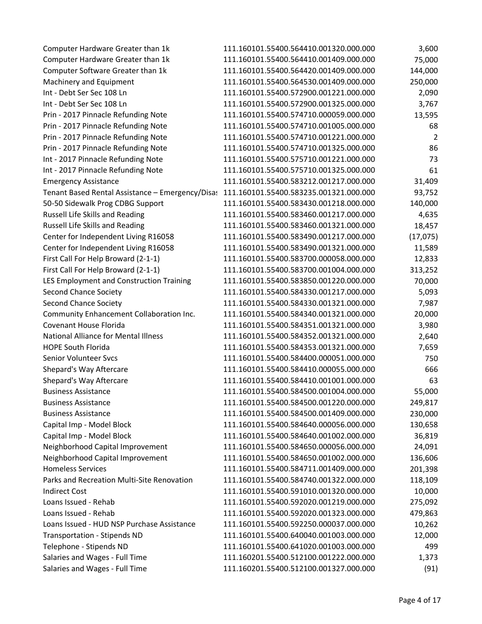| Computer Hardware Greater than 1k                | 111.160101.55400.564410.001320.000.000 | 3,600          |
|--------------------------------------------------|----------------------------------------|----------------|
| Computer Hardware Greater than 1k                | 111.160101.55400.564410.001409.000.000 | 75,000         |
| Computer Software Greater than 1k                | 111.160101.55400.564420.001409.000.000 | 144,000        |
| Machinery and Equipment                          | 111.160101.55400.564530.001409.000.000 | 250,000        |
| Int - Debt Ser Sec 108 Ln                        | 111.160101.55400.572900.001221.000.000 | 2,090          |
| Int - Debt Ser Sec 108 Ln                        | 111.160101.55400.572900.001325.000.000 | 3,767          |
| Prin - 2017 Pinnacle Refunding Note              | 111.160101.55400.574710.000059.000.000 | 13,595         |
| Prin - 2017 Pinnacle Refunding Note              | 111.160101.55400.574710.001005.000.000 | 68             |
| Prin - 2017 Pinnacle Refunding Note              | 111.160101.55400.574710.001221.000.000 | $\overline{2}$ |
| Prin - 2017 Pinnacle Refunding Note              | 111.160101.55400.574710.001325.000.000 | 86             |
| Int - 2017 Pinnacle Refunding Note               | 111.160101.55400.575710.001221.000.000 | 73             |
| Int - 2017 Pinnacle Refunding Note               | 111.160101.55400.575710.001325.000.000 | 61             |
| <b>Emergency Assistance</b>                      | 111.160101.55400.583212.001217.000.000 | 31,409         |
| Tenant Based Rental Assistance - Emergency/Disas | 111.160101.55400.583235.001321.000.000 | 93,752         |
| 50-50 Sidewalk Prog CDBG Support                 | 111.160101.55400.583430.001218.000.000 | 140,000        |
| Russell Life Skills and Reading                  | 111.160101.55400.583460.001217.000.000 | 4,635          |
| Russell Life Skills and Reading                  | 111.160101.55400.583460.001321.000.000 | 18,457         |
| Center for Independent Living R16058             | 111.160101.55400.583490.001217.000.000 | (17,075)       |
| Center for Independent Living R16058             | 111.160101.55400.583490.001321.000.000 | 11,589         |
| First Call For Help Broward (2-1-1)              | 111.160101.55400.583700.000058.000.000 | 12,833         |
| First Call For Help Broward (2-1-1)              | 111.160101.55400.583700.001004.000.000 | 313,252        |
| LES Employment and Construction Training         | 111.160101.55400.583850.001220.000.000 | 70,000         |
| <b>Second Chance Society</b>                     | 111.160101.55400.584330.001217.000.000 | 5,093          |
| <b>Second Chance Society</b>                     | 111.160101.55400.584330.001321.000.000 | 7,987          |
| Community Enhancement Collaboration Inc.         | 111.160101.55400.584340.001321.000.000 | 20,000         |
| Covenant House Florida                           | 111.160101.55400.584351.001321.000.000 | 3,980          |
| National Alliance for Mental Illness             | 111.160101.55400.584352.001321.000.000 | 2,640          |
| <b>HOPE South Florida</b>                        | 111.160101.55400.584353.001321.000.000 | 7,659          |
| Senior Volunteer Svcs                            | 111.160101.55400.584400.000051.000.000 | 750            |
| Shepard's Way Aftercare                          | 111.160101.55400.584410.000055.000.000 | 666            |
| Shepard's Way Aftercare                          | 111.160101.55400.584410.001001.000.000 | 63             |
| <b>Business Assistance</b>                       | 111.160101.55400.584500.001004.000.000 | 55,000         |
| <b>Business Assistance</b>                       | 111.160101.55400.584500.001220.000.000 | 249,817        |
| <b>Business Assistance</b>                       | 111.160101.55400.584500.001409.000.000 | 230,000        |
| Capital Imp - Model Block                        | 111.160101.55400.584640.000056.000.000 | 130,658        |
| Capital Imp - Model Block                        | 111.160101.55400.584640.001002.000.000 | 36,819         |
| Neighborhood Capital Improvement                 | 111.160101.55400.584650.000056.000.000 | 24,091         |
| Neighborhood Capital Improvement                 | 111.160101.55400.584650.001002.000.000 | 136,606        |
| <b>Homeless Services</b>                         | 111.160101.55400.584711.001409.000.000 | 201,398        |
| Parks and Recreation Multi-Site Renovation       | 111.160101.55400.584740.001322.000.000 | 118,109        |
| <b>Indirect Cost</b>                             | 111.160101.55400.591010.001320.000.000 | 10,000         |
| Loans Issued - Rehab                             | 111.160101.55400.592020.001219.000.000 | 275,092        |
| Loans Issued - Rehab                             | 111.160101.55400.592020.001323.000.000 | 479,863        |
| Loans Issued - HUD NSP Purchase Assistance       | 111.160101.55400.592250.000037.000.000 | 10,262         |
| <b>Transportation - Stipends ND</b>              | 111.160101.55400.640040.001003.000.000 | 12,000         |
| Telephone - Stipends ND                          | 111.160101.55400.641020.001003.000.000 | 499            |
| Salaries and Wages - Full Time                   | 111.160201.55400.512100.001222.000.000 | 1,373          |
| Salaries and Wages - Full Time                   | 111.160201.55400.512100.001327.000.000 | (91)           |
|                                                  |                                        |                |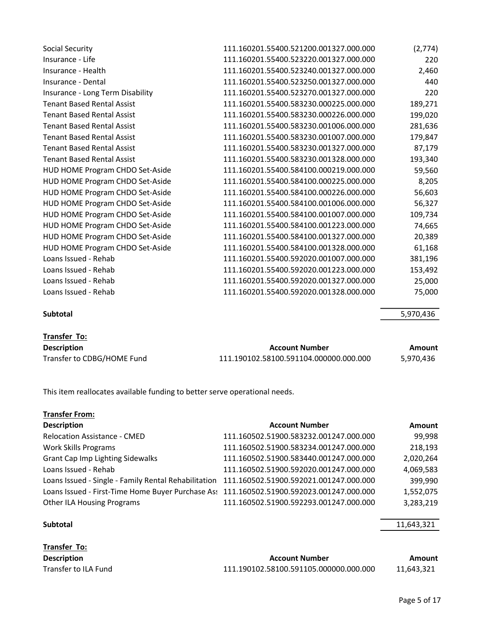| Social Security                   | 111.160201.55400.521200.001327.000.000 | (2,774) |
|-----------------------------------|----------------------------------------|---------|
| Insurance - Life                  | 111.160201.55400.523220.001327.000.000 | 220     |
| Insurance - Health                | 111.160201.55400.523240.001327.000.000 | 2,460   |
| Insurance - Dental                | 111.160201.55400.523250.001327.000.000 | 440     |
| Insurance - Long Term Disability  | 111.160201.55400.523270.001327.000.000 | 220     |
| <b>Tenant Based Rental Assist</b> | 111.160201.55400.583230.000225.000.000 | 189,271 |
| <b>Tenant Based Rental Assist</b> | 111.160201.55400.583230.000226.000.000 | 199,020 |
| <b>Tenant Based Rental Assist</b> | 111.160201.55400.583230.001006.000.000 | 281,636 |
| <b>Tenant Based Rental Assist</b> | 111.160201.55400.583230.001007.000.000 | 179,847 |
| <b>Tenant Based Rental Assist</b> | 111.160201.55400.583230.001327.000.000 | 87,179  |
| <b>Tenant Based Rental Assist</b> | 111.160201.55400.583230.001328.000.000 | 193,340 |
| HUD HOME Program CHDO Set-Aside   | 111.160201.55400.584100.000219.000.000 | 59,560  |
| HUD HOME Program CHDO Set-Aside   | 111.160201.55400.584100.000225.000.000 | 8,205   |
| HUD HOME Program CHDO Set-Aside   | 111.160201.55400.584100.000226.000.000 | 56,603  |
| HUD HOME Program CHDO Set-Aside   | 111.160201.55400.584100.001006.000.000 | 56,327  |
| HUD HOME Program CHDO Set-Aside   | 111.160201.55400.584100.001007.000.000 | 109,734 |
| HUD HOME Program CHDO Set-Aside   | 111.160201.55400.584100.001223.000.000 | 74,665  |
| HUD HOME Program CHDO Set-Aside   | 111.160201.55400.584100.001327.000.000 | 20,389  |
| HUD HOME Program CHDO Set-Aside   | 111.160201.55400.584100.001328.000.000 | 61,168  |
| Loans Issued - Rehab              | 111.160201.55400.592020.001007.000.000 | 381,196 |
| Loans Issued - Rehab              | 111.160201.55400.592020.001223.000.000 | 153,492 |
| Loans Issued - Rehab              | 111.160201.55400.592020.001327.000.000 | 25,000  |
| Loans Issued - Rehab              | 111.160201.55400.592020.001328.000.000 | 75,000  |
|                                   |                                        |         |

Subtotal 5,970,436

| Transter | TO: |
|----------|-----|
|          |     |

| <b>Description</b>         | Account Number                         | Amount    |
|----------------------------|----------------------------------------|-----------|
| Transfer to CDBG/HOME Fund | 111.190102.58100.591104.000000.000.000 | 5,970,436 |

This item reallocates available funding to better serve operational needs.

| <b>Transfer From:</b>                                                                       |                                        |               |
|---------------------------------------------------------------------------------------------|----------------------------------------|---------------|
| <b>Description</b>                                                                          | <b>Account Number</b>                  | <b>Amount</b> |
| <b>Relocation Assistance - CMED</b>                                                         | 111.160502.51900.583232.001247.000.000 | 99,998        |
| <b>Work Skills Programs</b>                                                                 | 111.160502.51900.583234.001247.000.000 | 218,193       |
| <b>Grant Cap Imp Lighting Sidewalks</b>                                                     | 111.160502.51900.583440.001247.000.000 | 2,020,264     |
| Loans Issued - Rehab                                                                        | 111.160502.51900.592020.001247.000.000 | 4,069,583     |
| Loans Issued - Single - Family Rental Rehabilitation 111.160502.51900.592021.001247.000.000 |                                        | 399,990       |
| Loans Issued - First-Time Home Buyer Purchase As: 111.160502.51900.592023.001247.000.000    |                                        | 1,552,075     |
| <b>Other ILA Housing Programs</b>                                                           | 111.160502.51900.592293.001247.000.000 | 3,283,219     |

### Subtotal 11,643,321

| Transfer To:         |                                        |            |
|----------------------|----------------------------------------|------------|
| <b>Description</b>   | <b>Account Number</b>                  | Amount     |
| Transfer to ILA Fund | 111.190102.58100.591105.000000.000.000 | 11,643,321 |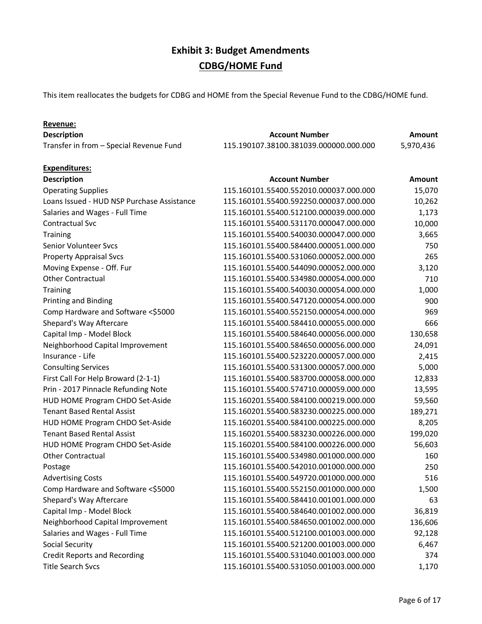This item reallocates the budgets for CDBG and HOME from the Special Revenue Fund to the CDBG/HOME fund.

### Revenue: **Description Amount Account Number Account Number Amount** Transfer in from – Special Revenue Fund 115.190107.38100.381039.000000.000.000 5,970,436 Expenditures: **Description Account Number Account Number Amount** Amount Operating Supplies 115.160101.55400.552010.000037.000.000 15,070 Loans Issued - HUD NSP Purchase Assistance 115.160101.55400.592250.000037.000.000 10,262 Salaries and Wages - Full Time 115.160101.55400.512100.000039.000.000 1,173 Contractual Svc 115.160101.55400.531170.000047.000.000 10,000 Training 115.160101.55400.540030.000047.000.000 3,665 Senior Volunteer Svcs 115.160101.55400.584400.000051.000.000 750 Property Appraisal Svcs 115.160101.55400.531060.000052.000.000 265 Moving Expense - Off. Fur 115.160101.55400.544090.000052.000.000 3,120 Other Contractual 115.160101.55400.534980.000054.000.000 710 Training 115.160101.55400.540030.000054.000.000 1,000 Printing and Binding 115.160101.55400.547120.000054.000.000 900 Comp Hardware and Software <\$5000 115.160101.55400.552150.000054.000.000 969 Shepard's Way Aftercare 115.160101.55400.584410.000055.000.000 666 Capital Imp - Model Block 115.160101.55400.584640.000056.000.000 130,658 Neighborhood Capital Improvement 115.160101.55400.584650.000056.000.000 24,091 Insurance - Life 115.160101.55400.523220.000057.000.000 2,415 Consulting Services 115.160101.55400.531300.000057.000.000 5,000 First Call For Help Broward (2-1-1) 115.160101.55400.583700.000058.000.000 12,833 Prin - 2017 Pinnacle Refunding Note 115.160101.55400.574710.000059.000.000 13,595 HUD HOME Program CHDO Set-Aside 115.160201.55400.584100.000219.000.000 59,560 Tenant Based Rental Assist 115.160201.55400.583230.000225.000.000 189,271 HUD HOME Program CHDO Set-Aside 115.160201.55400.584100.000225.000.000 8,205 Tenant Based Rental Assist 115.160201.55400.583230.000226.000.000 199,020 HUD HOME Program CHDO Set-Aside 115.160201.55400.584100.000226.000.000 56,603 Other Contractual 115.160101.55400.534980.001000.000.000 160 Postage 115.160101.55400.542010.001000.000.000 250 Advertising Costs 6.0 and 200 minutes 115.160101.55400.549720.001000.000.000 516 Comp Hardware and Software <\$5000 115.160101.55400.552150.001000.000.000 1,500 Shepard's Way Aftercare 2012 2020 115.160101.55400.584410.001001.000.000 63 Capital Imp - Model Block 115.160101.55400.584640.001002.000.000 36,819 Neighborhood Capital Improvement 115.160101.55400.584650.001002.000.000 136,606 Salaries and Wages - Full Time 115.160101.55400.512100.001003.000.000 92,128 Social Security 115.160101.55400.521200.001003.000.000 6,467 Credit Reports and Recording 115.160101.55400.531040.001003.000.000 374 Title Search Svcs 115.160101.55400.531050.001003.000.000 1,170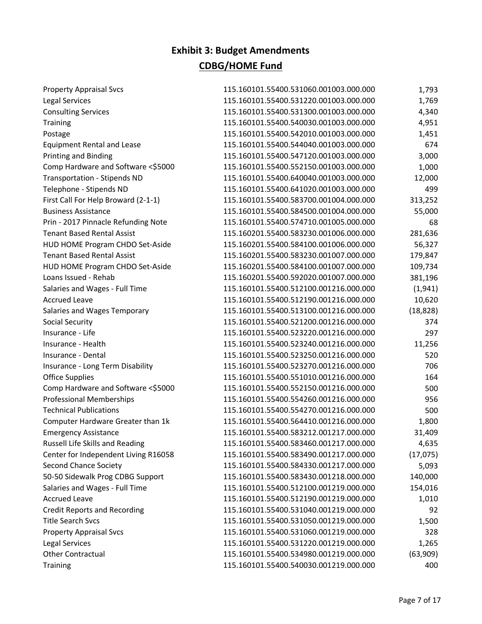| <b>Property Appraisal Svcs</b>       | 115.160101.55400.531060.001003.000.000 | 1,793     |
|--------------------------------------|----------------------------------------|-----------|
| <b>Legal Services</b>                | 115.160101.55400.531220.001003.000.000 | 1,769     |
| <b>Consulting Services</b>           | 115.160101.55400.531300.001003.000.000 | 4,340     |
| <b>Training</b>                      | 115.160101.55400.540030.001003.000.000 | 4,951     |
| Postage                              | 115.160101.55400.542010.001003.000.000 | 1,451     |
| <b>Equipment Rental and Lease</b>    | 115.160101.55400.544040.001003.000.000 | 674       |
| <b>Printing and Binding</b>          | 115.160101.55400.547120.001003.000.000 | 3,000     |
| Comp Hardware and Software <\$5000   | 115.160101.55400.552150.001003.000.000 | 1,000     |
| <b>Transportation - Stipends ND</b>  | 115.160101.55400.640040.001003.000.000 | 12,000    |
| Telephone - Stipends ND              | 115.160101.55400.641020.001003.000.000 | 499       |
| First Call For Help Broward (2-1-1)  | 115.160101.55400.583700.001004.000.000 | 313,252   |
| <b>Business Assistance</b>           | 115.160101.55400.584500.001004.000.000 | 55,000    |
| Prin - 2017 Pinnacle Refunding Note  | 115.160101.55400.574710.001005.000.000 | 68        |
| <b>Tenant Based Rental Assist</b>    | 115.160201.55400.583230.001006.000.000 | 281,636   |
| HUD HOME Program CHDO Set-Aside      | 115.160201.55400.584100.001006.000.000 | 56,327    |
| <b>Tenant Based Rental Assist</b>    | 115.160201.55400.583230.001007.000.000 | 179,847   |
| HUD HOME Program CHDO Set-Aside      | 115.160201.55400.584100.001007.000.000 | 109,734   |
| Loans Issued - Rehab                 | 115.160201.55400.592020.001007.000.000 | 381,196   |
| Salaries and Wages - Full Time       | 115.160101.55400.512100.001216.000.000 | (1, 941)  |
| <b>Accrued Leave</b>                 | 115.160101.55400.512190.001216.000.000 | 10,620    |
| Salaries and Wages Temporary         | 115.160101.55400.513100.001216.000.000 | (18, 828) |
| Social Security                      | 115.160101.55400.521200.001216.000.000 | 374       |
| Insurance - Life                     | 115.160101.55400.523220.001216.000.000 | 297       |
| Insurance - Health                   | 115.160101.55400.523240.001216.000.000 | 11,256    |
| Insurance - Dental                   | 115.160101.55400.523250.001216.000.000 | 520       |
| Insurance - Long Term Disability     | 115.160101.55400.523270.001216.000.000 | 706       |
| <b>Office Supplies</b>               | 115.160101.55400.551010.001216.000.000 | 164       |
| Comp Hardware and Software <\$5000   | 115.160101.55400.552150.001216.000.000 | 500       |
| <b>Professional Memberships</b>      | 115.160101.55400.554260.001216.000.000 | 956       |
| <b>Technical Publications</b>        | 115.160101.55400.554270.001216.000.000 | 500       |
| Computer Hardware Greater than 1k    | 115.160101.55400.564410.001216.000.000 | 1,800     |
| <b>Emergency Assistance</b>          | 115.160101.55400.583212.001217.000.000 | 31,409    |
| Russell Life Skills and Reading      | 115.160101.55400.583460.001217.000.000 | 4,635     |
| Center for Independent Living R16058 | 115.160101.55400.583490.001217.000.000 | (17,075)  |
| <b>Second Chance Society</b>         | 115.160101.55400.584330.001217.000.000 | 5,093     |
| 50-50 Sidewalk Prog CDBG Support     | 115.160101.55400.583430.001218.000.000 | 140,000   |
| Salaries and Wages - Full Time       | 115.160101.55400.512100.001219.000.000 | 154,016   |
| <b>Accrued Leave</b>                 | 115.160101.55400.512190.001219.000.000 | 1,010     |
| <b>Credit Reports and Recording</b>  | 115.160101.55400.531040.001219.000.000 | 92        |
| <b>Title Search Svcs</b>             | 115.160101.55400.531050.001219.000.000 | 1,500     |
| <b>Property Appraisal Svcs</b>       | 115.160101.55400.531060.001219.000.000 | 328       |
| Legal Services                       | 115.160101.55400.531220.001219.000.000 | 1,265     |
| <b>Other Contractual</b>             | 115.160101.55400.534980.001219.000.000 | (63,909)  |
| Training                             | 115.160101.55400.540030.001219.000.000 | 400       |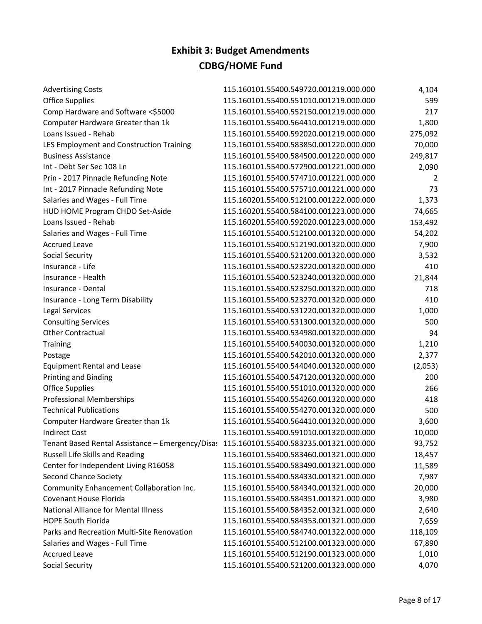| <b>Advertising Costs</b>                         | 115.160101.55400.549720.001219.000.000 | 4,104   |
|--------------------------------------------------|----------------------------------------|---------|
| <b>Office Supplies</b>                           | 115.160101.55400.551010.001219.000.000 | 599     |
| Comp Hardware and Software <\$5000               | 115.160101.55400.552150.001219.000.000 | 217     |
| Computer Hardware Greater than 1k                | 115.160101.55400.564410.001219.000.000 | 1,800   |
| Loans Issued - Rehab                             | 115.160101.55400.592020.001219.000.000 | 275,092 |
| LES Employment and Construction Training         | 115.160101.55400.583850.001220.000.000 | 70,000  |
| <b>Business Assistance</b>                       | 115.160101.55400.584500.001220.000.000 | 249,817 |
| Int - Debt Ser Sec 108 Ln                        | 115.160101.55400.572900.001221.000.000 | 2,090   |
| Prin - 2017 Pinnacle Refunding Note              | 115.160101.55400.574710.001221.000.000 | 2       |
| Int - 2017 Pinnacle Refunding Note               | 115.160101.55400.575710.001221.000.000 | 73      |
| Salaries and Wages - Full Time                   | 115.160201.55400.512100.001222.000.000 | 1,373   |
| HUD HOME Program CHDO Set-Aside                  | 115.160201.55400.584100.001223.000.000 | 74,665  |
| Loans Issued - Rehab                             | 115.160201.55400.592020.001223.000.000 | 153,492 |
| Salaries and Wages - Full Time                   | 115.160101.55400.512100.001320.000.000 | 54,202  |
| <b>Accrued Leave</b>                             | 115.160101.55400.512190.001320.000.000 | 7,900   |
| Social Security                                  | 115.160101.55400.521200.001320.000.000 | 3,532   |
| Insurance - Life                                 | 115.160101.55400.523220.001320.000.000 | 410     |
| Insurance - Health                               | 115.160101.55400.523240.001320.000.000 | 21,844  |
| Insurance - Dental                               | 115.160101.55400.523250.001320.000.000 | 718     |
| Insurance - Long Term Disability                 | 115.160101.55400.523270.001320.000.000 | 410     |
| <b>Legal Services</b>                            | 115.160101.55400.531220.001320.000.000 | 1,000   |
| <b>Consulting Services</b>                       | 115.160101.55400.531300.001320.000.000 | 500     |
| <b>Other Contractual</b>                         | 115.160101.55400.534980.001320.000.000 | 94      |
| <b>Training</b>                                  | 115.160101.55400.540030.001320.000.000 | 1,210   |
| Postage                                          | 115.160101.55400.542010.001320.000.000 | 2,377   |
| <b>Equipment Rental and Lease</b>                | 115.160101.55400.544040.001320.000.000 | (2,053) |
| Printing and Binding                             | 115.160101.55400.547120.001320.000.000 | 200     |
| <b>Office Supplies</b>                           | 115.160101.55400.551010.001320.000.000 | 266     |
| <b>Professional Memberships</b>                  | 115.160101.55400.554260.001320.000.000 | 418     |
| <b>Technical Publications</b>                    | 115.160101.55400.554270.001320.000.000 | 500     |
| Computer Hardware Greater than 1k                | 115.160101.55400.564410.001320.000.000 | 3,600   |
| <b>Indirect Cost</b>                             | 115.160101.55400.591010.001320.000.000 | 10,000  |
| Tenant Based Rental Assistance - Emergency/Disas | 115.160101.55400.583235.001321.000.000 | 93,752  |
| Russell Life Skills and Reading                  | 115.160101.55400.583460.001321.000.000 | 18,457  |
| Center for Independent Living R16058             | 115.160101.55400.583490.001321.000.000 | 11,589  |
| <b>Second Chance Society</b>                     | 115.160101.55400.584330.001321.000.000 | 7,987   |
| Community Enhancement Collaboration Inc.         | 115.160101.55400.584340.001321.000.000 | 20,000  |
| Covenant House Florida                           | 115.160101.55400.584351.001321.000.000 | 3,980   |
| <b>National Alliance for Mental Illness</b>      | 115.160101.55400.584352.001321.000.000 | 2,640   |
| <b>HOPE South Florida</b>                        | 115.160101.55400.584353.001321.000.000 | 7,659   |
| Parks and Recreation Multi-Site Renovation       | 115.160101.55400.584740.001322.000.000 | 118,109 |
| Salaries and Wages - Full Time                   | 115.160101.55400.512100.001323.000.000 | 67,890  |
| <b>Accrued Leave</b>                             | 115.160101.55400.512190.001323.000.000 | 1,010   |
| Social Security                                  | 115.160101.55400.521200.001323.000.000 | 4,070   |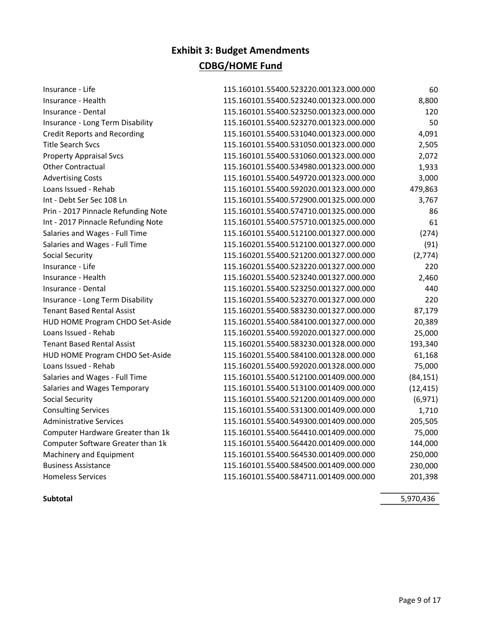| Insurance - Life                    | 115.160101.55400.523220.001323.000.000 | 60        |
|-------------------------------------|----------------------------------------|-----------|
| Insurance - Health                  | 115.160101.55400.523240.001323.000.000 | 8,800     |
| Insurance - Dental                  | 115.160101.55400.523250.001323.000.000 | 120       |
| Insurance - Long Term Disability    | 115.160101.55400.523270.001323.000.000 | 50        |
| <b>Credit Reports and Recording</b> | 115.160101.55400.531040.001323.000.000 | 4,091     |
| <b>Title Search Svcs</b>            | 115.160101.55400.531050.001323.000.000 | 2,505     |
| <b>Property Appraisal Svcs</b>      | 115.160101.55400.531060.001323.000.000 | 2,072     |
| <b>Other Contractual</b>            | 115.160101.55400.534980.001323.000.000 | 1,933     |
| <b>Advertising Costs</b>            | 115.160101.55400.549720.001323.000.000 | 3,000     |
| Loans Issued - Rehab                | 115.160101.55400.592020.001323.000.000 | 479,863   |
| Int - Debt Ser Sec 108 Ln           | 115.160101.55400.572900.001325.000.000 | 3,767     |
| Prin - 2017 Pinnacle Refunding Note | 115.160101.55400.574710.001325.000.000 | 86        |
| Int - 2017 Pinnacle Refunding Note  | 115.160101.55400.575710.001325.000.000 | 61        |
| Salaries and Wages - Full Time      | 115.160101.55400.512100.001327.000.000 | (274)     |
| Salaries and Wages - Full Time      | 115.160201.55400.512100.001327.000.000 | (91)      |
| <b>Social Security</b>              | 115.160201.55400.521200.001327.000.000 | (2,774)   |
| Insurance - Life                    | 115.160201.55400.523220.001327.000.000 | 220       |
| Insurance - Health                  | 115.160201.55400.523240.001327.000.000 | 2,460     |
| Insurance - Dental                  | 115.160201.55400.523250.001327.000.000 | 440       |
| Insurance - Long Term Disability    | 115.160201.55400.523270.001327.000.000 | 220       |
| <b>Tenant Based Rental Assist</b>   | 115.160201.55400.583230.001327.000.000 | 87,179    |
| HUD HOME Program CHDO Set-Aside     | 115.160201.55400.584100.001327.000.000 | 20,389    |
| Loans Issued - Rehab                | 115.160201.55400.592020.001327.000.000 | 25,000    |
| <b>Tenant Based Rental Assist</b>   | 115.160201.55400.583230.001328.000.000 | 193,340   |
| HUD HOME Program CHDO Set-Aside     | 115.160201.55400.584100.001328.000.000 | 61,168    |
| Loans Issued - Rehab                | 115.160201.55400.592020.001328.000.000 | 75,000    |
| Salaries and Wages - Full Time      | 115.160101.55400.512100.001409.000.000 | (84, 151) |
| Salaries and Wages Temporary        | 115.160101.55400.513100.001409.000.000 | (12, 415) |
| <b>Social Security</b>              | 115.160101.55400.521200.001409.000.000 | (6, 971)  |
| <b>Consulting Services</b>          | 115.160101.55400.531300.001409.000.000 | 1,710     |
| <b>Administrative Services</b>      | 115.160101.55400.549300.001409.000.000 | 205,505   |
| Computer Hardware Greater than 1k   | 115.160101.55400.564410.001409.000.000 | 75,000    |
| Computer Software Greater than 1k   | 115.160101.55400.564420.001409.000.000 | 144,000   |
| Machinery and Equipment             | 115.160101.55400.564530.001409.000.000 | 250,000   |
| <b>Business Assistance</b>          | 115.160101.55400.584500.001409.000.000 | 230,000   |
| <b>Homeless Services</b>            | 115.160101.55400.584711.001409.000.000 | 201,398   |

Subtotal 5,970,436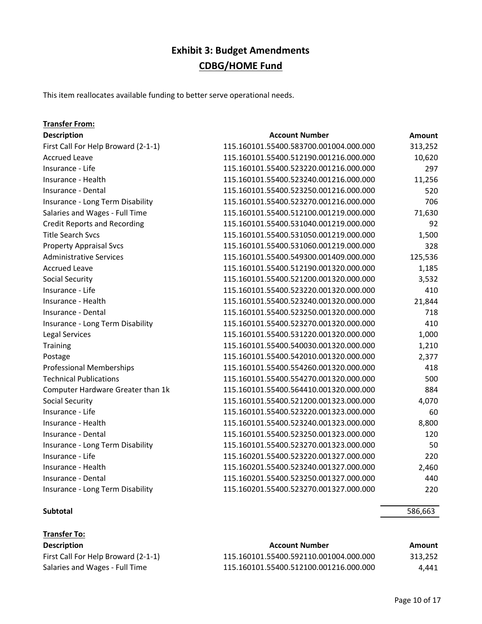This item reallocates available funding to better serve operational needs.

### Transfer From:

| <b>Description</b>                  | <b>Account Number</b>                  | <b>Amount</b> |
|-------------------------------------|----------------------------------------|---------------|
| First Call For Help Broward (2-1-1) | 115.160101.55400.583700.001004.000.000 | 313,252       |
| <b>Accrued Leave</b>                | 115.160101.55400.512190.001216.000.000 | 10,620        |
| Insurance - Life                    | 115.160101.55400.523220.001216.000.000 | 297           |
| Insurance - Health                  | 115.160101.55400.523240.001216.000.000 | 11,256        |
| Insurance - Dental                  | 115.160101.55400.523250.001216.000.000 | 520           |
| Insurance - Long Term Disability    | 115.160101.55400.523270.001216.000.000 | 706           |
| Salaries and Wages - Full Time      | 115.160101.55400.512100.001219.000.000 | 71,630        |
| <b>Credit Reports and Recording</b> | 115.160101.55400.531040.001219.000.000 | 92            |
| <b>Title Search Svcs</b>            | 115.160101.55400.531050.001219.000.000 | 1,500         |
| <b>Property Appraisal Svcs</b>      | 115.160101.55400.531060.001219.000.000 | 328           |
| <b>Administrative Services</b>      | 115.160101.55400.549300.001409.000.000 | 125,536       |
| <b>Accrued Leave</b>                | 115.160101.55400.512190.001320.000.000 | 1,185         |
| <b>Social Security</b>              | 115.160101.55400.521200.001320.000.000 | 3,532         |
| Insurance - Life                    | 115.160101.55400.523220.001320.000.000 | 410           |
| Insurance - Health                  | 115.160101.55400.523240.001320.000.000 | 21,844        |
| Insurance - Dental                  | 115.160101.55400.523250.001320.000.000 | 718           |
| Insurance - Long Term Disability    | 115.160101.55400.523270.001320.000.000 | 410           |
| Legal Services                      | 115.160101.55400.531220.001320.000.000 | 1,000         |
| Training                            | 115.160101.55400.540030.001320.000.000 | 1,210         |
| Postage                             | 115.160101.55400.542010.001320.000.000 | 2,377         |
| <b>Professional Memberships</b>     | 115.160101.55400.554260.001320.000.000 | 418           |
| <b>Technical Publications</b>       | 115.160101.55400.554270.001320.000.000 | 500           |
| Computer Hardware Greater than 1k   | 115.160101.55400.564410.001320.000.000 | 884           |
| Social Security                     | 115.160101.55400.521200.001323.000.000 | 4,070         |
| Insurance - Life                    | 115.160101.55400.523220.001323.000.000 | 60            |
| Insurance - Health                  | 115.160101.55400.523240.001323.000.000 | 8,800         |
| Insurance - Dental                  | 115.160101.55400.523250.001323.000.000 | 120           |
| Insurance - Long Term Disability    | 115.160101.55400.523270.001323.000.000 | 50            |
| Insurance - Life                    | 115.160201.55400.523220.001327.000.000 | 220           |
| Insurance - Health                  | 115.160201.55400.523240.001327.000.000 | 2,460         |
| Insurance - Dental                  | 115.160201.55400.523250.001327.000.000 | 440           |
| Insurance - Long Term Disability    | 115.160201.55400.523270.001327.000.000 | 220           |

| <b>Transfer To:</b>                 |                                        |         |
|-------------------------------------|----------------------------------------|---------|
| <b>Description</b>                  | <b>Account Number</b>                  | Amount  |
| First Call For Help Broward (2-1-1) | 115.160101.55400.592110.001004.000.000 | 313.252 |
| Salaries and Wages - Full Time      | 115.160101.55400.512100.001216.000.000 | 4.441   |

Subtotal 586,663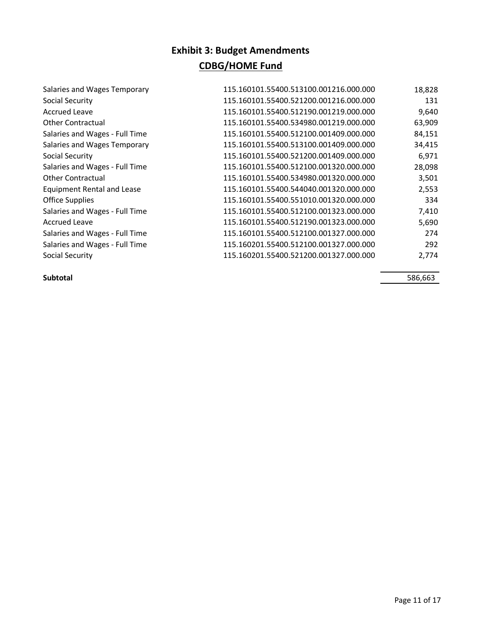| Salaries and Wages Temporary      | 115.160101.55400.513100.001216.000.000 | 18,828 |
|-----------------------------------|----------------------------------------|--------|
| Social Security                   | 115.160101.55400.521200.001216.000.000 | 131    |
| <b>Accrued Leave</b>              | 115.160101.55400.512190.001219.000.000 | 9,640  |
| <b>Other Contractual</b>          | 115.160101.55400.534980.001219.000.000 | 63,909 |
| Salaries and Wages - Full Time    | 115.160101.55400.512100.001409.000.000 | 84,151 |
| Salaries and Wages Temporary      | 115.160101.55400.513100.001409.000.000 | 34,415 |
| Social Security                   | 115.160101.55400.521200.001409.000.000 | 6,971  |
| Salaries and Wages - Full Time    | 115.160101.55400.512100.001320.000.000 | 28,098 |
| <b>Other Contractual</b>          | 115.160101.55400.534980.001320.000.000 | 3,501  |
| <b>Equipment Rental and Lease</b> | 115.160101.55400.544040.001320.000.000 | 2,553  |
| <b>Office Supplies</b>            | 115.160101.55400.551010.001320.000.000 | 334    |
| Salaries and Wages - Full Time    | 115.160101.55400.512100.001323.000.000 | 7,410  |
| <b>Accrued Leave</b>              | 115.160101.55400.512190.001323.000.000 | 5,690  |
| Salaries and Wages - Full Time    | 115.160101.55400.512100.001327.000.000 | 274    |
| Salaries and Wages - Full Time    | 115.160201.55400.512100.001327.000.000 | 292    |
| Social Security                   | 115.160201.55400.521200.001327.000.000 | 2.774  |

Subtotal 586,663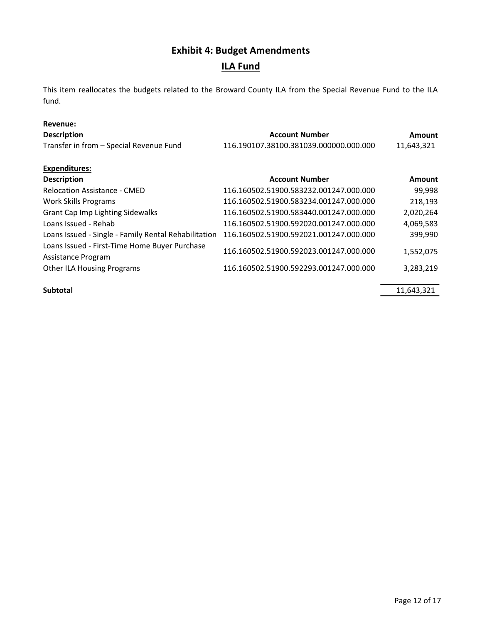# Exhibit 4: Budget Amendments

### ILA Fund

This item reallocates the budgets related to the Broward County ILA from the Special Revenue Fund to the ILA fund.

### Revenue:

| <b>Description</b>                                                  | <b>Account Number</b>                  | Amount     |
|---------------------------------------------------------------------|----------------------------------------|------------|
| Transfer in from - Special Revenue Fund                             | 116.190107.38100.381039.000000.000.000 | 11,643,321 |
| <b>Expenditures:</b>                                                |                                        |            |
| <b>Description</b>                                                  | <b>Account Number</b>                  | Amount     |
| <b>Relocation Assistance - CMED</b>                                 | 116.160502.51900.583232.001247.000.000 | 99,998     |
| <b>Work Skills Programs</b>                                         | 116.160502.51900.583234.001247.000.000 | 218,193    |
| <b>Grant Cap Imp Lighting Sidewalks</b>                             | 116.160502.51900.583440.001247.000.000 | 2,020,264  |
| Loans Issued - Rehab                                                | 116.160502.51900.592020.001247.000.000 | 4,069,583  |
| Loans Issued - Single - Family Rental Rehabilitation                | 116.160502.51900.592021.001247.000.000 | 399,990    |
| Loans Issued - First-Time Home Buyer Purchase<br>Assistance Program | 116.160502.51900.592023.001247.000.000 | 1,552,075  |
| <b>Other ILA Housing Programs</b>                                   | 116.160502.51900.592293.001247.000.000 | 3,283,219  |
| <b>Subtotal</b>                                                     |                                        | 11,643,321 |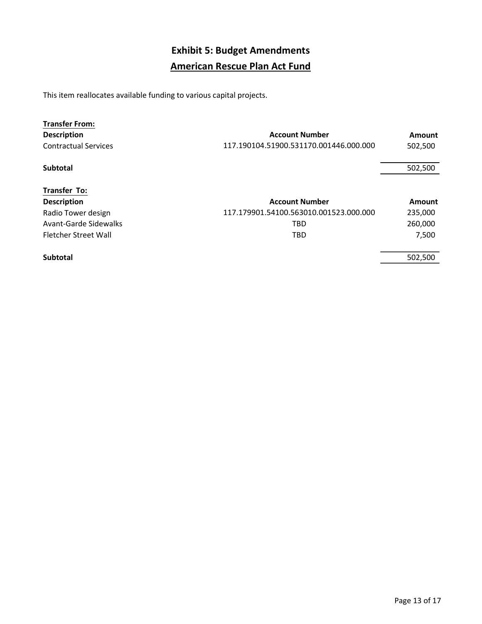# Exhibit 5: Budget Amendments American Rescue Plan Act Fund

This item reallocates available funding to various capital projects.

| <b>Transfer From:</b>       |                                        |               |
|-----------------------------|----------------------------------------|---------------|
| <b>Description</b>          | <b>Account Number</b>                  | Amount        |
| <b>Contractual Services</b> | 117.190104.51900.531170.001446.000.000 | 502,500       |
| <b>Subtotal</b>             |                                        | 502,500       |
| <b>Transfer To:</b>         |                                        |               |
| <b>Description</b>          | <b>Account Number</b>                  | <b>Amount</b> |
| Radio Tower design          | 117.179901.54100.563010.001523.000.000 | 235,000       |
| Avant-Garde Sidewalks       | TBD                                    | 260,000       |
| Fletcher Street Wall        | TBD                                    | 7,500         |
| <b>Subtotal</b>             |                                        | 502.500       |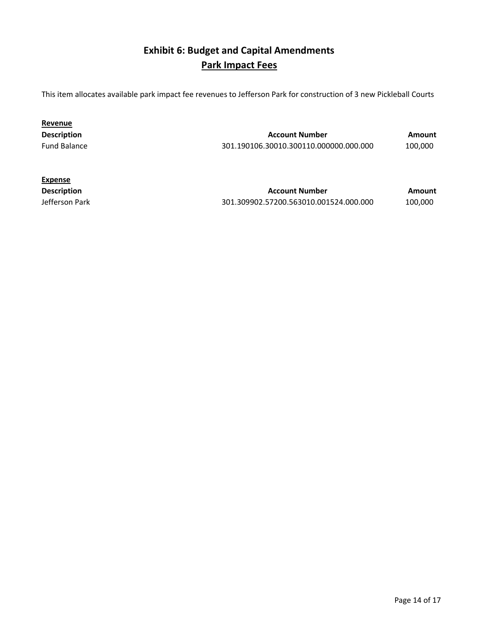### Exhibit 6: Budget and Capital Amendments Park Impact Fees

This item allocates available park impact fee revenues to Jefferson Park for construction of 3 new Pickleball Courts

| Revenue             |                                        |         |
|---------------------|----------------------------------------|---------|
| <b>Description</b>  | <b>Account Number</b>                  | Amount  |
| <b>Fund Balance</b> | 301.190106.30010.300110.000000.000.000 | 100.000 |

| <b>Expense</b>     |                                        |         |
|--------------------|----------------------------------------|---------|
| <b>Description</b> | <b>Account Number</b>                  | Amount  |
| Jefferson Park     | 301.309902.57200.563010.001524.000.000 | 100.000 |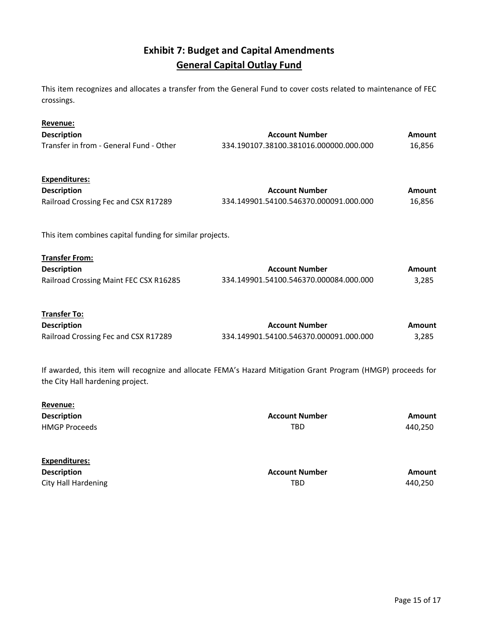### Exhibit 7: Budget and Capital Amendments General Capital Outlay Fund

This item recognizes and allocates a transfer from the General Fund to cover costs related to maintenance of FEC crossings.

| Revenue:<br><b>Description</b><br>Transfer in from - General Fund - Other             | <b>Account Number</b><br>334.190107.38100.381016.000000.000.000                                              | <b>Amount</b><br>16,856 |
|---------------------------------------------------------------------------------------|--------------------------------------------------------------------------------------------------------------|-------------------------|
| Expenditures:<br><b>Description</b><br>Railroad Crossing Fec and CSX R17289           | <b>Account Number</b><br>334.149901.54100.546370.000091.000.000                                              | Amount<br>16,856        |
| This item combines capital funding for similar projects.                              |                                                                                                              |                         |
| <b>Transfer From:</b><br><b>Description</b><br>Railroad Crossing Maint FEC CSX R16285 | <b>Account Number</b><br>334.149901.54100.546370.000084.000.000                                              | Amount<br>3,285         |
| Transfer To:<br><b>Description</b><br>Railroad Crossing Fec and CSX R17289            | <b>Account Number</b><br>334.149901.54100.546370.000091.000.000                                              | Amount<br>3,285         |
| the City Hall hardening project.                                                      | If awarded, this item will recognize and allocate FEMA's Hazard Mitigation Grant Program (HMGP) proceeds for |                         |
| <u>Revenue:</u><br><b>Description</b><br><b>HMGP Proceeds</b>                         | <b>Account Number</b><br><b>TBD</b>                                                                          | Amount<br>440,250       |

| Expenditures:       |                       |         |
|---------------------|-----------------------|---------|
| <b>Description</b>  | <b>Account Number</b> | Amount  |
| City Hall Hardening | TBD                   | 440.250 |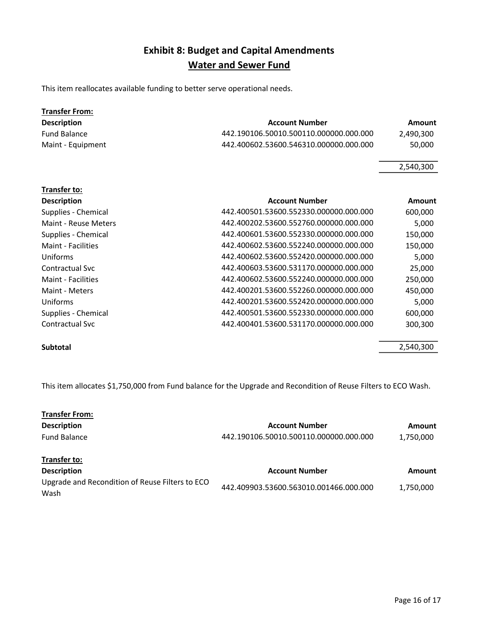### Exhibit 8: Budget and Capital Amendments Water and Sewer Fund

This item reallocates available funding to better serve operational needs.

| <b>Transfer From:</b>     |                                        |           |
|---------------------------|----------------------------------------|-----------|
| <b>Description</b>        | <b>Account Number</b>                  | Amount    |
| <b>Fund Balance</b>       | 442.190106.50010.500110.000000.000.000 | 2,490,300 |
| Maint - Equipment         | 442.400602.53600.546310.000000.000.000 | 50,000    |
|                           |                                        | 2,540,300 |
| Transfer to:              |                                        |           |
| <b>Description</b>        | <b>Account Number</b>                  | Amount    |
| Supplies - Chemical       | 442.400501.53600.552330.000000.000.000 | 600,000   |
| Maint - Reuse Meters      | 442.400202.53600.552760.000000.000.000 | 5,000     |
| Supplies - Chemical       | 442.400601.53600.552330.000000.000.000 | 150,000   |
| Maint - Facilities        | 442.400602.53600.552240.000000.000.000 | 150,000   |
| Uniforms                  | 442.400602.53600.552420.000000.000.000 | 5,000     |
| <b>Contractual Svc</b>    | 442.400603.53600.531170.000000.000.000 | 25,000    |
| <b>Maint - Facilities</b> | 442.400602.53600.552240.000000.000.000 | 250,000   |
| Maint - Meters            | 442.400201.53600.552260.000000.000.000 | 450,000   |
| Uniforms                  | 442.400201.53600.552420.000000.000.000 | 5,000     |
| Supplies - Chemical       | 442.400501.53600.552330.000000.000.000 | 600,000   |
| Contractual Svc           | 442.400401.53600.531170.000000.000.000 | 300,300   |

Subtotal 2,540,300

This item allocates \$1,750,000 from Fund balance for the Upgrade and Recondition of Reuse Filters to ECO Wash.

| <b>Transfer From:</b>                                   |                                        |           |
|---------------------------------------------------------|----------------------------------------|-----------|
| <b>Description</b>                                      | <b>Account Number</b>                  | Amount    |
| <b>Fund Balance</b>                                     | 442.190106.50010.500110.000000.000.000 | 1,750,000 |
| <b>Transfer to:</b>                                     |                                        |           |
| <b>Description</b>                                      | <b>Account Number</b>                  | Amount    |
| Upgrade and Recondition of Reuse Filters to ECO<br>Wash | 442.409903.53600.563010.001466.000.000 | 1.750.000 |